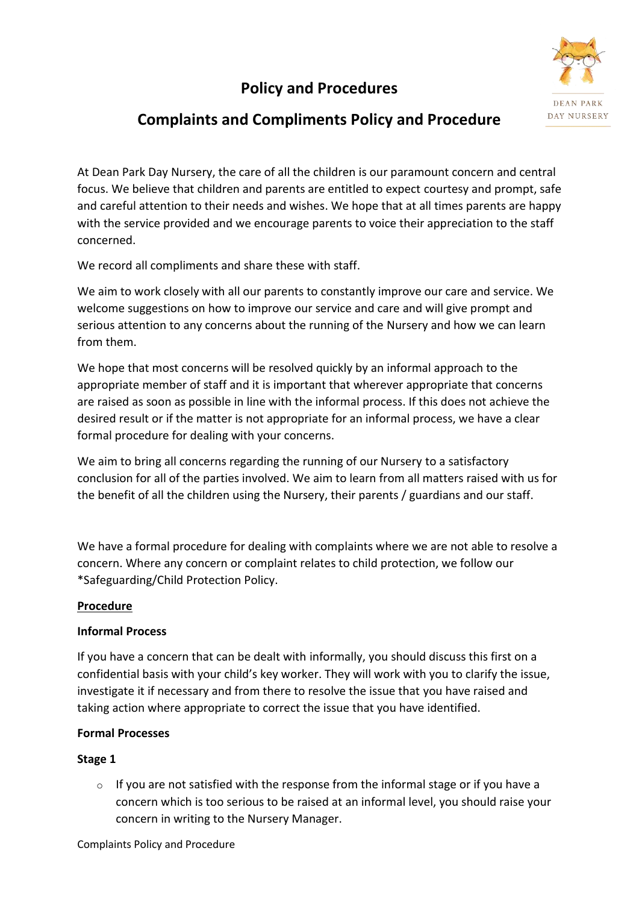# **Policy and Procedures**



## **Complaints and Compliments Policy and Procedure**

At Dean Park Day Nursery, the care of all the children is our paramount concern and central focus. We believe that children and parents are entitled to expect courtesy and prompt, safe and careful attention to their needs and wishes. We hope that at all times parents are happy with the service provided and we encourage parents to voice their appreciation to the staff concerned.

We record all compliments and share these with staff.

We aim to work closely with all our parents to constantly improve our care and service. We welcome suggestions on how to improve our service and care and will give prompt and serious attention to any concerns about the running of the Nursery and how we can learn from them.

We hope that most concerns will be resolved quickly by an informal approach to the appropriate member of staff and it is important that wherever appropriate that concerns are raised as soon as possible in line with the informal process. If this does not achieve the desired result or if the matter is not appropriate for an informal process, we have a clear formal procedure for dealing with your concerns.

We aim to bring all concerns regarding the running of our Nursery to a satisfactory conclusion for all of the parties involved. We aim to learn from all matters raised with us for the benefit of all the children using the Nursery, their parents / guardians and our staff.

We have a formal procedure for dealing with complaints where we are not able to resolve a concern. Where any concern or complaint relates to child protection, we follow our \*Safeguarding/Child Protection Policy.

#### **Procedure**

#### **Informal Process**

If you have a concern that can be dealt with informally, you should discuss this first on a confidential basis with your child's key worker. They will work with you to clarify the issue, investigate it if necessary and from there to resolve the issue that you have raised and taking action where appropriate to correct the issue that you have identified.

#### **Formal Processes**

#### **Stage 1**

o If you are not satisfied with the response from the informal stage or if you have a concern which is too serious to be raised at an informal level, you should raise your concern in writing to the Nursery Manager.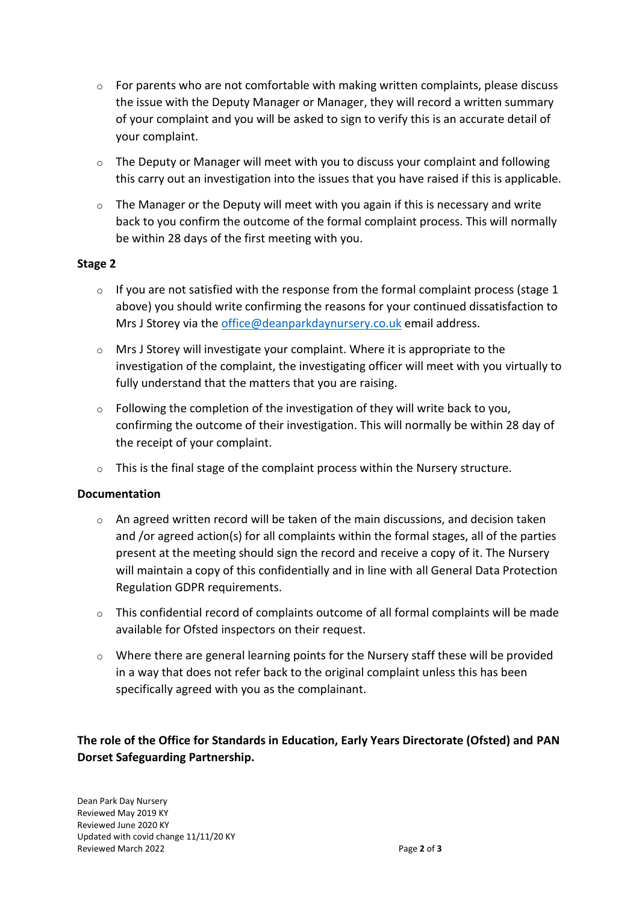- $\circ$  For parents who are not comfortable with making written complaints, please discuss the issue with the Deputy Manager or Manager, they will record a written summary of your complaint and you will be asked to sign to verify this is an accurate detail of your complaint.
- $\circ$  The Deputy or Manager will meet with you to discuss your complaint and following this carry out an investigation into the issues that you have raised if this is applicable.
- o The Manager or the Deputy will meet with you again if this is necessary and write back to you confirm the outcome of the formal complaint process. This will normally be within 28 days of the first meeting with you.

#### **Stage 2**

- $\circ$  If you are not satisfied with the response from the formal complaint process (stage 1 above) you should write confirming the reasons for your continued dissatisfaction to Mrs J Storey via the [office@deanparkdaynursery.co.uk](mailto:office@deanparkdaynursery.co.uk) email address.
- o Mrs J Storey will investigate your complaint. Where it is appropriate to the investigation of the complaint, the investigating officer will meet with you virtually to fully understand that the matters that you are raising.
- $\circ$  Following the completion of the investigation of they will write back to you, confirming the outcome of their investigation. This will normally be within 28 day of the receipt of your complaint.
- $\circ$  This is the final stage of the complaint process within the Nursery structure.

#### **Documentation**

- $\circ$  An agreed written record will be taken of the main discussions, and decision taken and /or agreed action(s) for all complaints within the formal stages, all of the parties present at the meeting should sign the record and receive a copy of it. The Nursery will maintain a copy of this confidentially and in line with all General Data Protection Regulation GDPR requirements.
- $\circ$  This confidential record of complaints outcome of all formal complaints will be made available for Ofsted inspectors on their request.
- o Where there are general learning points for the Nursery staff these will be provided in a way that does not refer back to the original complaint unless this has been specifically agreed with you as the complainant.

### **The role of the Office for Standards in Education, Early Years Directorate (Ofsted) and PAN Dorset Safeguarding Partnership.**